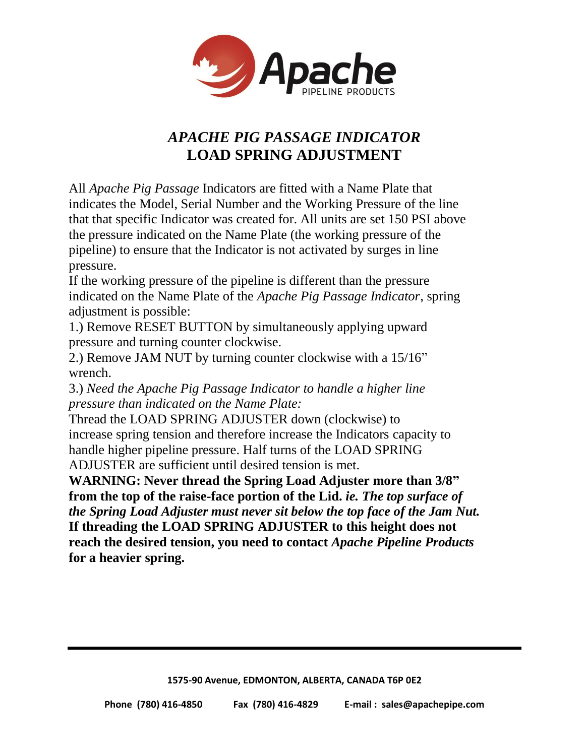

## *APACHE PIG PASSAGE INDICATOR* **LOAD SPRING ADJUSTMENT**

All *Apache Pig Passage* Indicators are fitted with a Name Plate that indicates the Model, Serial Number and the Working Pressure of the line that that specific Indicator was created for. All units are set 150 PSI above the pressure indicated on the Name Plate (the working pressure of the pipeline) to ensure that the Indicator is not activated by surges in line pressure.

If the working pressure of the pipeline is different than the pressure indicated on the Name Plate of the *Apache Pig Passage Indicator*, spring adjustment is possible:

1.) Remove RESET BUTTON by simultaneously applying upward pressure and turning counter clockwise.

2.) Remove JAM NUT by turning counter clockwise with a 15/16" wrench.

3.) *Need the Apache Pig Passage Indicator to handle a higher line pressure than indicated on the Name Plate:*

Thread the LOAD SPRING ADJUSTER down (clockwise) to increase spring tension and therefore increase the Indicators capacity to handle higher pipeline pressure. Half turns of the LOAD SPRING ADJUSTER are sufficient until desired tension is met.

**WARNING: Never thread the Spring Load Adjuster more than 3/8" from the top of the raise-face portion of the Lid.** *ie. The top surface of the Spring Load Adjuster must never sit below the top face of the Jam Nut.* **If threading the LOAD SPRING ADJUSTER to this height does not reach the desired tension, you need to contact** *Apache Pipeline Products* **for a heavier spring.**